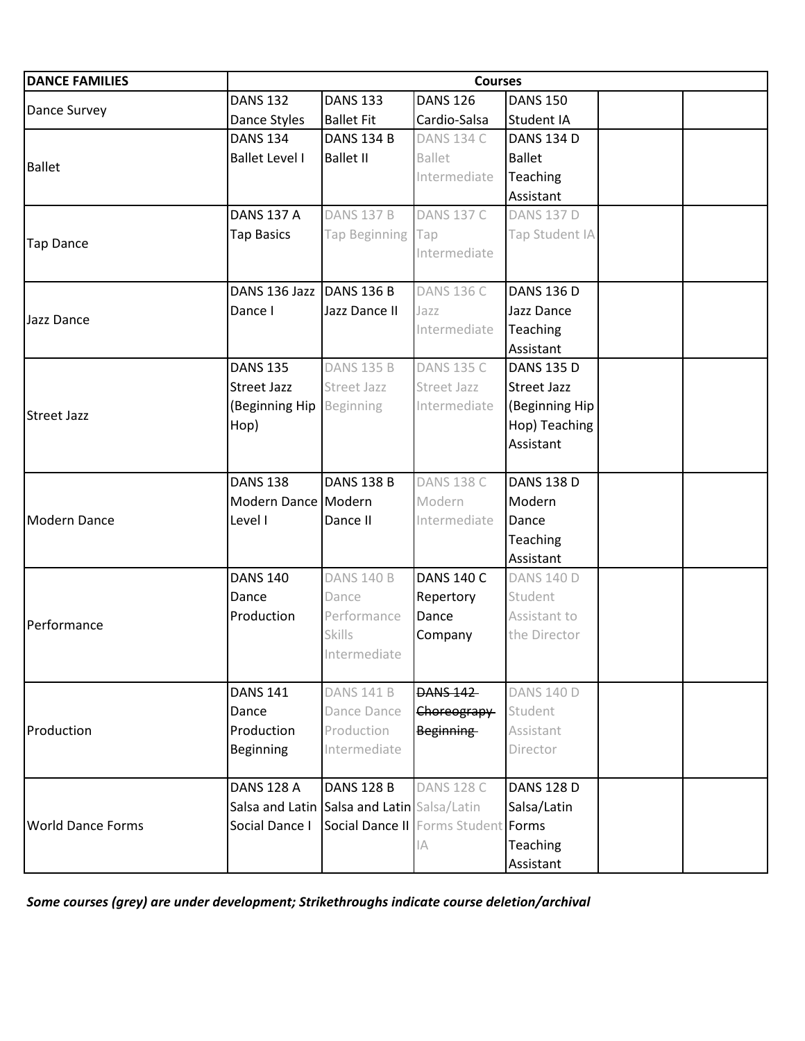| <b>DANCE FAMILIES</b>    |                          |                                             | <b>Courses</b>    |                              |  |
|--------------------------|--------------------------|---------------------------------------------|-------------------|------------------------------|--|
|                          | <b>DANS 132</b>          | <b>DANS 133</b>                             | <b>DANS 126</b>   | <b>DANS 150</b>              |  |
| Dance Survey             | Dance Styles             | <b>Ballet Fit</b>                           | Cardio-Salsa      | Student IA                   |  |
|                          | <b>DANS 134</b>          | <b>DANS 134 B</b>                           | <b>DANS 134 C</b> | <b>DANS 134 D</b>            |  |
|                          | <b>Ballet Level I</b>    | <b>Ballet II</b>                            | <b>Ballet</b>     | <b>Ballet</b>                |  |
| <b>Ballet</b>            |                          |                                             | Intermediate      | Teaching                     |  |
|                          |                          |                                             |                   | Assistant                    |  |
|                          | <b>DANS 137 A</b>        | <b>DANS 137 B</b>                           | <b>DANS 137 C</b> | <b>DANS 137 D</b>            |  |
| <b>Tap Dance</b>         | <b>Tap Basics</b>        | Tap Beginning                               | Tap               | Tap Student IA               |  |
|                          |                          |                                             | Intermediate      |                              |  |
|                          |                          |                                             |                   |                              |  |
|                          | DANS 136 Jazz DANS 136 B |                                             | <b>DANS 136 C</b> | <b>DANS 136 D</b>            |  |
| Jazz Dance               | Dance I                  | Jazz Dance II                               | Jazz              | Jazz Dance                   |  |
|                          |                          |                                             | Intermediate      | Teaching                     |  |
|                          |                          |                                             |                   | Assistant                    |  |
|                          | <b>DANS 135</b>          | <b>DANS 135 B</b>                           | <b>DANS 135 C</b> | <b>DANS 135 D</b>            |  |
|                          | <b>Street Jazz</b>       | Street Jazz                                 | Street Jazz       | Street Jazz                  |  |
| <b>Street Jazz</b>       | (Beginning Hip Beginning |                                             | Intermediate      | (Beginning Hip               |  |
|                          | Hop)                     |                                             |                   | Hop) Teaching                |  |
|                          |                          |                                             |                   | Assistant                    |  |
|                          |                          |                                             | <b>DANS 138 C</b> |                              |  |
|                          | <b>DANS 138</b>          | <b>DANS 138 B</b>                           |                   | <b>DANS 138 D</b>            |  |
|                          | Modern Dance Modern      |                                             | Modern            | Modern                       |  |
| <b>Modern Dance</b>      | Level I                  | Dance II                                    | Intermediate      | Dance                        |  |
|                          |                          |                                             |                   | <b>Teaching</b><br>Assistant |  |
|                          | <b>DANS 140</b>          | <b>DANS 140 B</b>                           | <b>DANS 140 C</b> | <b>DANS 140 D</b>            |  |
|                          | Dance                    | Dance                                       | Repertory         | Student                      |  |
|                          | Production               | Performance                                 | Dance             | Assistant to                 |  |
| Performance              |                          | <b>Skills</b>                               | Company           | the Director                 |  |
|                          |                          | Intermediate                                |                   |                              |  |
|                          |                          |                                             |                   |                              |  |
|                          | <b>DANS 141</b>          | <b>DANS 141 B</b>                           | <b>DANS 142</b>   | <b>DANS 140 D</b>            |  |
|                          | Dance                    | Dance Dance                                 | Choreograpy       | Student                      |  |
| Production               | Production               | Production                                  | <b>Beginning</b>  | Assistant                    |  |
|                          | Beginning                | Intermediate                                |                   | Director                     |  |
|                          |                          |                                             |                   |                              |  |
|                          | <b>DANS 128 A</b>        | <b>DANS 128 B</b>                           | <b>DANS 128 C</b> | <b>DANS 128 D</b>            |  |
|                          |                          | Salsa and Latin Salsa and Latin Salsa/Latin |                   | Salsa/Latin                  |  |
| <b>World Dance Forms</b> | Social Dance I           | Social Dance II Forms Student Forms         |                   |                              |  |
|                          |                          |                                             | $ \mathbb{A} $    | Teaching                     |  |
|                          |                          |                                             |                   | Assistant                    |  |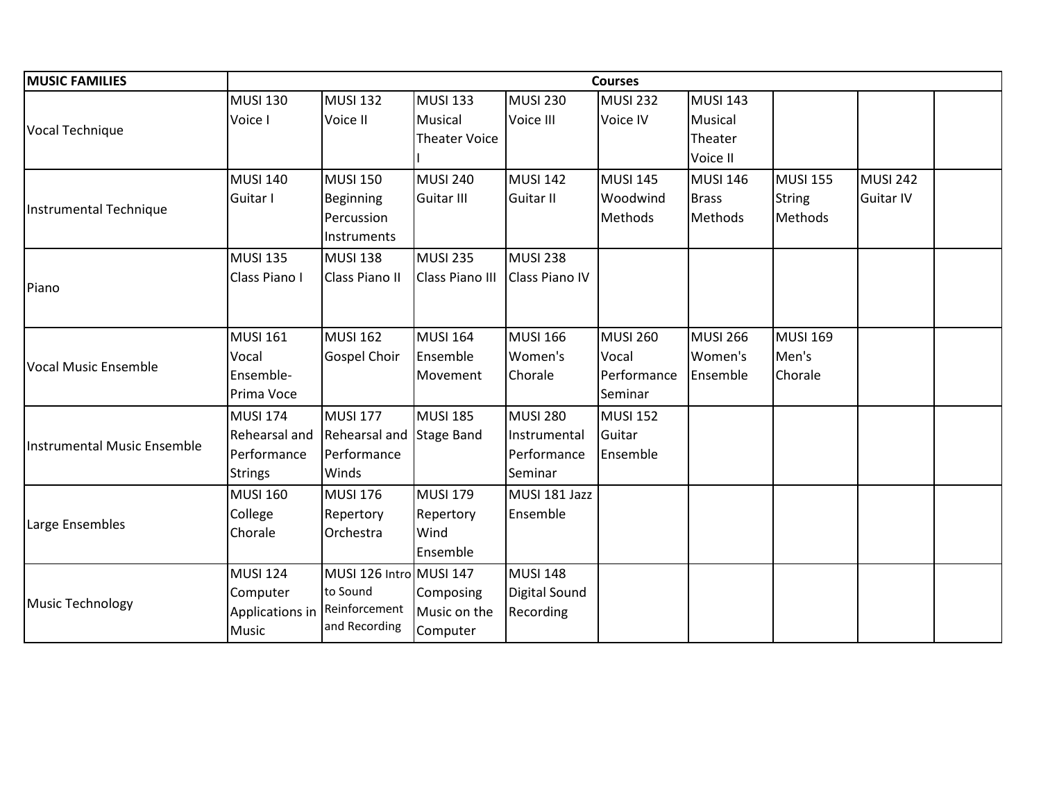| <b>MUSIC FAMILIES</b>       |                 |                         |                      |                       | <b>Courses</b>  |                 |                 |                  |  |
|-----------------------------|-----------------|-------------------------|----------------------|-----------------------|-----------------|-----------------|-----------------|------------------|--|
|                             | <b>MUSI 130</b> | <b>MUSI 132</b>         | <b>MUSI 133</b>      | <b>MUSI 230</b>       | <b>MUSI 232</b> | <b>MUSI 143</b> |                 |                  |  |
|                             | Voice I         | Voice II                | Musical              | Voice III             | Voice IV        | Musical         |                 |                  |  |
| Vocal Technique             |                 |                         | <b>Theater Voice</b> |                       |                 | Theater         |                 |                  |  |
|                             |                 |                         |                      |                       |                 | Voice II        |                 |                  |  |
|                             | <b>MUSI 140</b> | <b>MUSI 150</b>         | <b>MUSI 240</b>      | <b>MUSI 142</b>       | <b>MUSI 145</b> | <b>MUSI 146</b> | <b>MUSI 155</b> | <b>MUSI 242</b>  |  |
|                             | Guitar I        | <b>Beginning</b>        | <b>Guitar III</b>    | <b>Guitar II</b>      | Woodwind        | <b>Brass</b>    | <b>String</b>   | <b>Guitar IV</b> |  |
| Instrumental Technique      |                 | Percussion              |                      |                       | Methods         | Methods         | Methods         |                  |  |
|                             |                 | Instruments             |                      |                       |                 |                 |                 |                  |  |
|                             | <b>MUSI 135</b> | <b>MUSI 138</b>         | <b>MUSI 235</b>      | <b>MUSI 238</b>       |                 |                 |                 |                  |  |
|                             | Class Piano I   | Class Piano II          | Class Piano III      | <b>Class Piano IV</b> |                 |                 |                 |                  |  |
| Piano                       |                 |                         |                      |                       |                 |                 |                 |                  |  |
|                             |                 |                         |                      |                       |                 |                 |                 |                  |  |
|                             | <b>MUSI 161</b> | <b>MUSI 162</b>         | <b>MUSI 164</b>      | <b>MUSI 166</b>       | <b>MUSI 260</b> | <b>MUSI 266</b> | <b>MUSI 169</b> |                  |  |
|                             | Vocal           | <b>Gospel Choir</b>     | Ensemble             | Women's               | Vocal           | Women's         | Men's           |                  |  |
| <b>Vocal Music Ensemble</b> | Ensemble-       |                         | Movement             | Chorale               | Performance     | Ensemble        | Chorale         |                  |  |
|                             | Prima Voce      |                         |                      |                       | Seminar         |                 |                 |                  |  |
|                             | <b>MUSI 174</b> | <b>MUSI 177</b>         | <b>MUSI 185</b>      | <b>MUSI 280</b>       | <b>MUSI 152</b> |                 |                 |                  |  |
| Instrumental Music Ensemble | Rehearsal and   | Rehearsal and           | <b>Stage Band</b>    | Instrumental          | Guitar          |                 |                 |                  |  |
|                             | Performance     | Performance             |                      | Performance           | Ensemble        |                 |                 |                  |  |
|                             | <b>Strings</b>  | Winds                   |                      | Seminar               |                 |                 |                 |                  |  |
|                             | <b>MUSI 160</b> | <b>MUSI 176</b>         | <b>MUSI 179</b>      | MUSI 181 Jazz         |                 |                 |                 |                  |  |
|                             | College         | Repertory               | Repertory            | Ensemble              |                 |                 |                 |                  |  |
| Large Ensembles             | Chorale         | Orchestra               | Wind                 |                       |                 |                 |                 |                  |  |
|                             |                 |                         | Ensemble             |                       |                 |                 |                 |                  |  |
|                             | <b>MUSI 124</b> | MUSI 126 Intro MUSI 147 |                      | <b>MUSI 148</b>       |                 |                 |                 |                  |  |
|                             | Computer        | to Sound                | Composing            | <b>Digital Sound</b>  |                 |                 |                 |                  |  |
| Music Technology            | Applications in | Reinforcement           | Music on the         | Recording             |                 |                 |                 |                  |  |
|                             | <b>Music</b>    | and Recording           | Computer             |                       |                 |                 |                 |                  |  |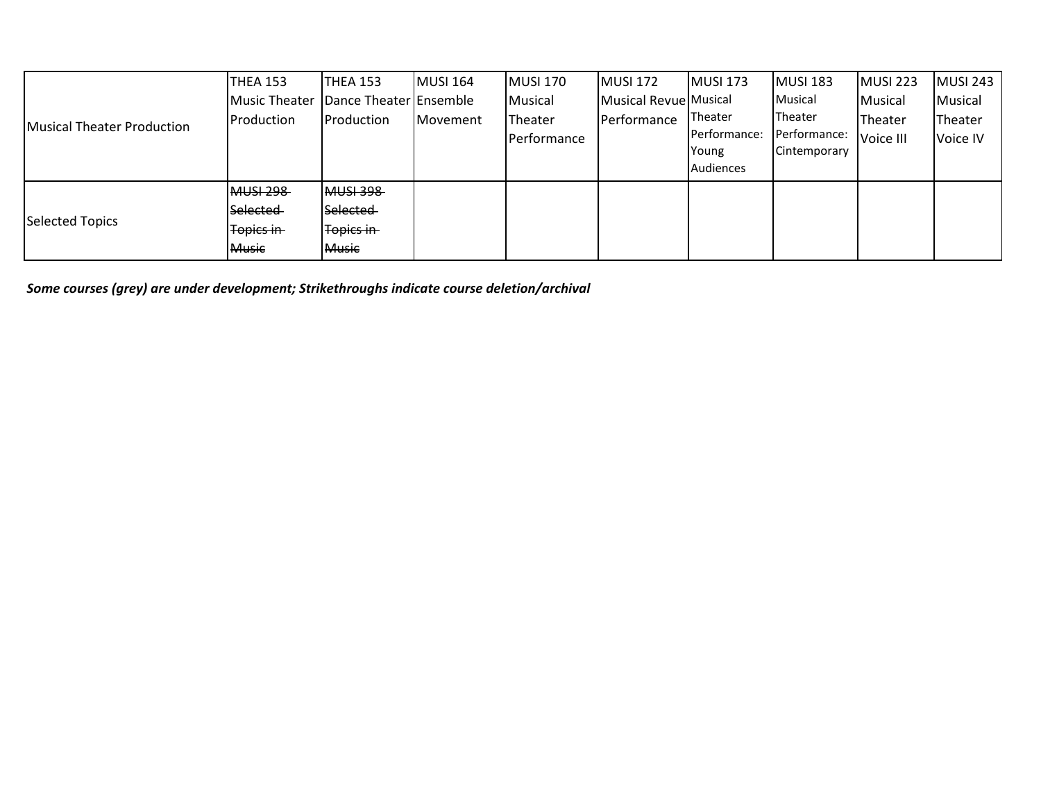| Musical Theater Production | THEA 153         | THEA 153               | MUSI 164 | MUSI 170    | <b>MUSI 172</b>       | <b>MUSI 173</b> | <b>MUSI 183</b> | MUSI 223  | <b>MUSI 243</b> |
|----------------------------|------------------|------------------------|----------|-------------|-----------------------|-----------------|-----------------|-----------|-----------------|
|                            | Music Theater    | Dance Theater Ensemble |          | Musical     | Musical Revue Musical |                 | Musical         | Musical   | Musical         |
|                            | Production       | <b>IProduction</b>     | Movement | Theater     | Performance           | Theater         | Theater         | Theater   | Theater         |
|                            |                  |                        |          | Performance |                       | Performance:    | Performance:    | Voice III | Voice IV        |
|                            |                  |                        |          |             |                       | Young           | Cintemporary    |           |                 |
|                            |                  |                        |          |             |                       | Audiences       |                 |           |                 |
| <b>Selected Topics</b>     | <b>MUSI 298</b>  | <b>MUSI 398</b>        |          |             |                       |                 |                 |           |                 |
|                            | Selected         | <b>Selected</b>        |          |             |                       |                 |                 |           |                 |
|                            | <b>Topics in</b> | Topics in              |          |             |                       |                 |                 |           |                 |
|                            | <b>Music</b>     | <b>Music</b>           |          |             |                       |                 |                 |           |                 |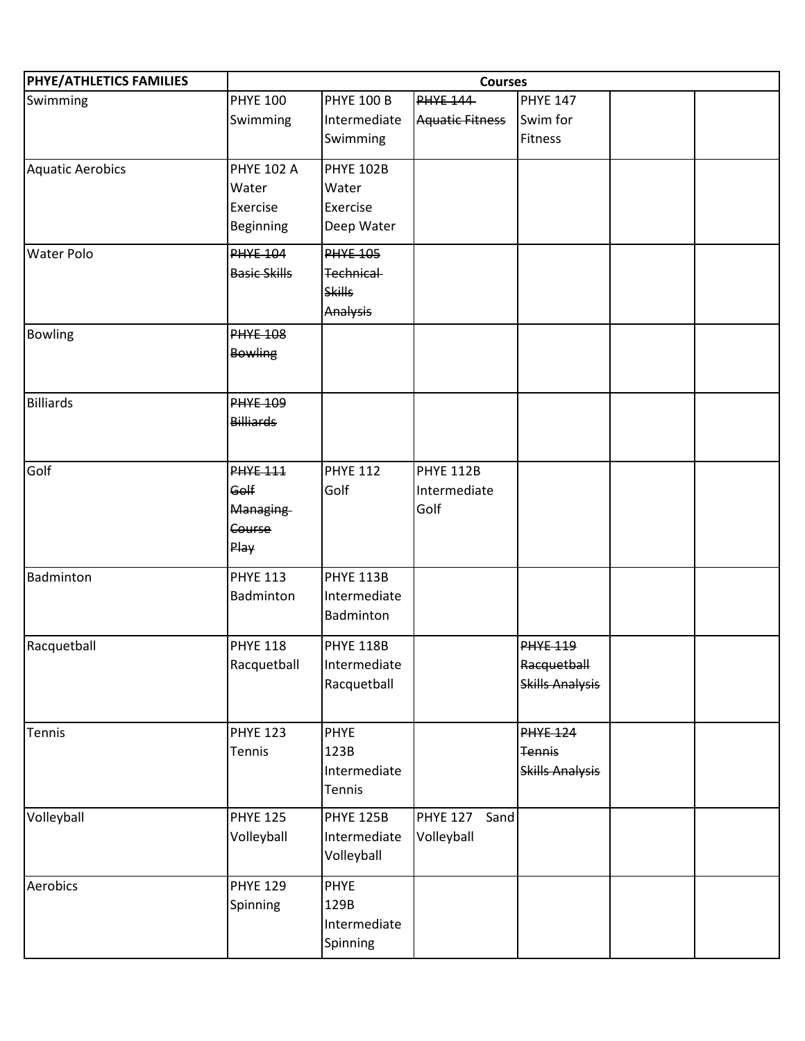| PHYE/ATHLETICS FAMILIES | <b>Courses</b>      |                   |                         |                        |  |  |  |
|-------------------------|---------------------|-------------------|-------------------------|------------------------|--|--|--|
| Swimming                | <b>PHYE 100</b>     | <b>PHYE 100 B</b> | <b>PHYE 144</b>         | <b>PHYE 147</b>        |  |  |  |
|                         | Swimming            | Intermediate      | <b>Aquatic Fitness</b>  | Swim for               |  |  |  |
|                         |                     | Swimming          |                         | Fitness                |  |  |  |
| <b>Aquatic Aerobics</b> | <b>PHYE 102 A</b>   | <b>PHYE 102B</b>  |                         |                        |  |  |  |
|                         | Water               | Water             |                         |                        |  |  |  |
|                         | Exercise            | Exercise          |                         |                        |  |  |  |
|                         | Beginning           | Deep Water        |                         |                        |  |  |  |
| <b>Water Polo</b>       | <b>PHYE 104</b>     | <b>PHYE 105</b>   |                         |                        |  |  |  |
|                         | <b>Basic Skills</b> | Technical-        |                         |                        |  |  |  |
|                         |                     | <b>Skills</b>     |                         |                        |  |  |  |
|                         |                     | Analysis          |                         |                        |  |  |  |
| <b>Bowling</b>          | <b>PHYE 108</b>     |                   |                         |                        |  |  |  |
|                         | <b>Bowling</b>      |                   |                         |                        |  |  |  |
|                         |                     |                   |                         |                        |  |  |  |
| <b>Billiards</b>        | <b>PHYE 109</b>     |                   |                         |                        |  |  |  |
|                         | <b>Billiards</b>    |                   |                         |                        |  |  |  |
|                         |                     |                   |                         |                        |  |  |  |
| Golf                    | <b>PHYE 111</b>     | <b>PHYE 112</b>   | <b>PHYE 112B</b>        |                        |  |  |  |
|                         | Golf                | Golf              | Intermediate            |                        |  |  |  |
|                         | Managing            |                   | Golf                    |                        |  |  |  |
|                         | Course              |                   |                         |                        |  |  |  |
|                         | Play                |                   |                         |                        |  |  |  |
| Badminton               | <b>PHYE 113</b>     | <b>PHYE 113B</b>  |                         |                        |  |  |  |
|                         | Badminton           | Intermediate      |                         |                        |  |  |  |
|                         |                     | Badminton         |                         |                        |  |  |  |
| Racquetball             | <b>PHYE 118</b>     | <b>PHYE 118B</b>  |                         | <b>PHYE 119</b>        |  |  |  |
|                         | Racquetball         | Intermediate      |                         | Racquetball            |  |  |  |
|                         |                     | Racquetball       |                         | <b>Skills Analysis</b> |  |  |  |
|                         |                     |                   |                         |                        |  |  |  |
| Tennis                  | <b>PHYE 123</b>     | <b>PHYE</b>       |                         | <b>PHYE 124</b>        |  |  |  |
|                         | Tennis              | 123B              |                         | <b>Tennis</b>          |  |  |  |
|                         |                     | Intermediate      |                         | <b>Skills Analysis</b> |  |  |  |
|                         |                     | <b>Tennis</b>     |                         |                        |  |  |  |
| Volleyball              | <b>PHYE 125</b>     | <b>PHYE 125B</b>  | <b>PHYE 127</b><br>Sand |                        |  |  |  |
|                         | Volleyball          | Intermediate      | Volleyball              |                        |  |  |  |
|                         |                     | Volleyball        |                         |                        |  |  |  |
| Aerobics                | <b>PHYE 129</b>     | <b>PHYE</b>       |                         |                        |  |  |  |
|                         | Spinning            | 129B              |                         |                        |  |  |  |
|                         |                     | Intermediate      |                         |                        |  |  |  |
|                         |                     | Spinning          |                         |                        |  |  |  |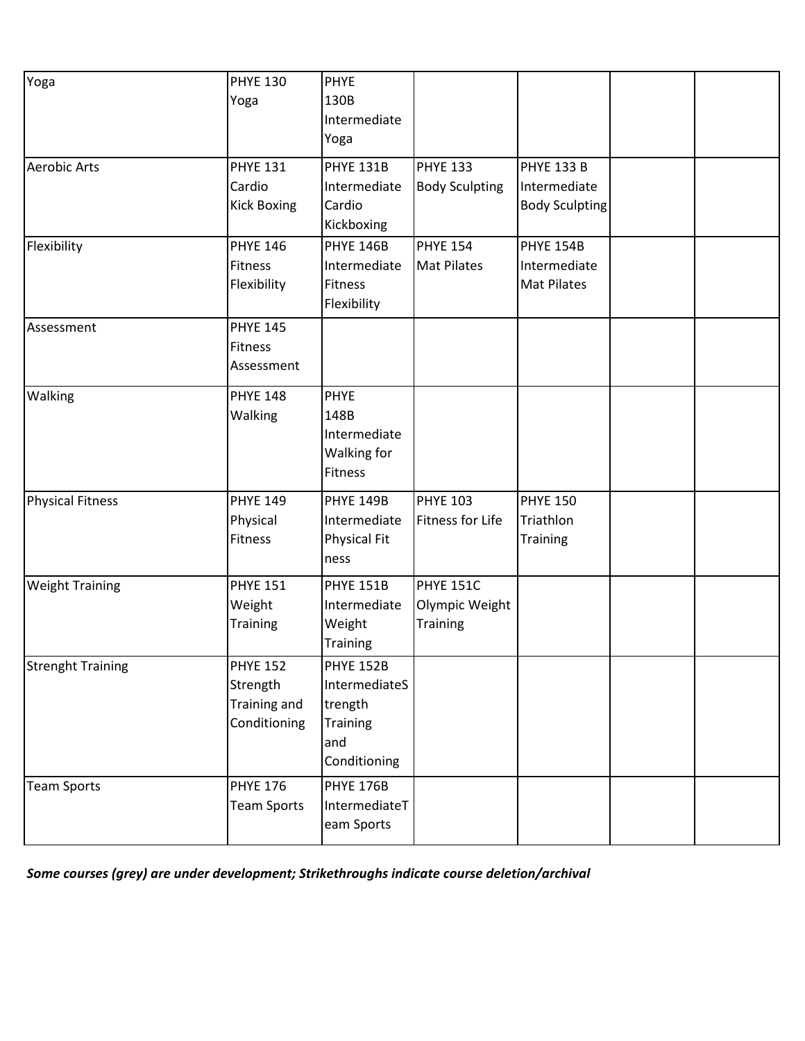| Yoga                     | <b>PHYE 130</b><br>Yoga                                     | <b>PHYE</b><br>130B<br>Intermediate<br>Yoga                                     |                                                |                                                            |  |
|--------------------------|-------------------------------------------------------------|---------------------------------------------------------------------------------|------------------------------------------------|------------------------------------------------------------|--|
| <b>Aerobic Arts</b>      | <b>PHYE 131</b><br>Cardio<br><b>Kick Boxing</b>             | <b>PHYE 131B</b><br>Intermediate<br>Cardio<br>Kickboxing                        | <b>PHYE 133</b><br><b>Body Sculpting</b>       | <b>PHYE 133 B</b><br>Intermediate<br><b>Body Sculpting</b> |  |
| Flexibility              | <b>PHYE 146</b><br>Fitness<br>Flexibility                   | <b>PHYE 146B</b><br>Intermediate<br><b>Fitness</b><br>Flexibility               | <b>PHYE 154</b><br><b>Mat Pilates</b>          | PHYE 154B<br>Intermediate<br><b>Mat Pilates</b>            |  |
| Assessment               | <b>PHYE 145</b><br><b>Fitness</b><br>Assessment             |                                                                                 |                                                |                                                            |  |
| Walking                  | <b>PHYE 148</b><br>Walking                                  | PHYE<br>148B<br>Intermediate<br>Walking for<br><b>Fitness</b>                   |                                                |                                                            |  |
| <b>Physical Fitness</b>  | <b>PHYE 149</b><br>Physical<br>Fitness                      | <b>PHYE 149B</b><br>Intermediate<br><b>Physical Fit</b><br>ness                 | <b>PHYE 103</b><br>Fitness for Life            | <b>PHYE 150</b><br>Triathlon<br><b>Training</b>            |  |
| <b>Weight Training</b>   | <b>PHYE 151</b><br>Weight<br><b>Training</b>                | <b>PHYE 151B</b><br>Intermediate<br>Weight<br><b>Training</b>                   | <b>PHYE 151C</b><br>Olympic Weight<br>Training |                                                            |  |
| <b>Strenght Training</b> | <b>PHYE 152</b><br>Strength<br>Training and<br>Conditioning | <b>PHYE 152B</b><br>IntermediateS<br>trength<br>Training<br>and<br>Conditioning |                                                |                                                            |  |
| <b>Team Sports</b>       | <b>PHYE 176</b><br><b>Team Sports</b>                       | <b>PHYE 176B</b><br>IntermediateT<br>eam Sports                                 |                                                |                                                            |  |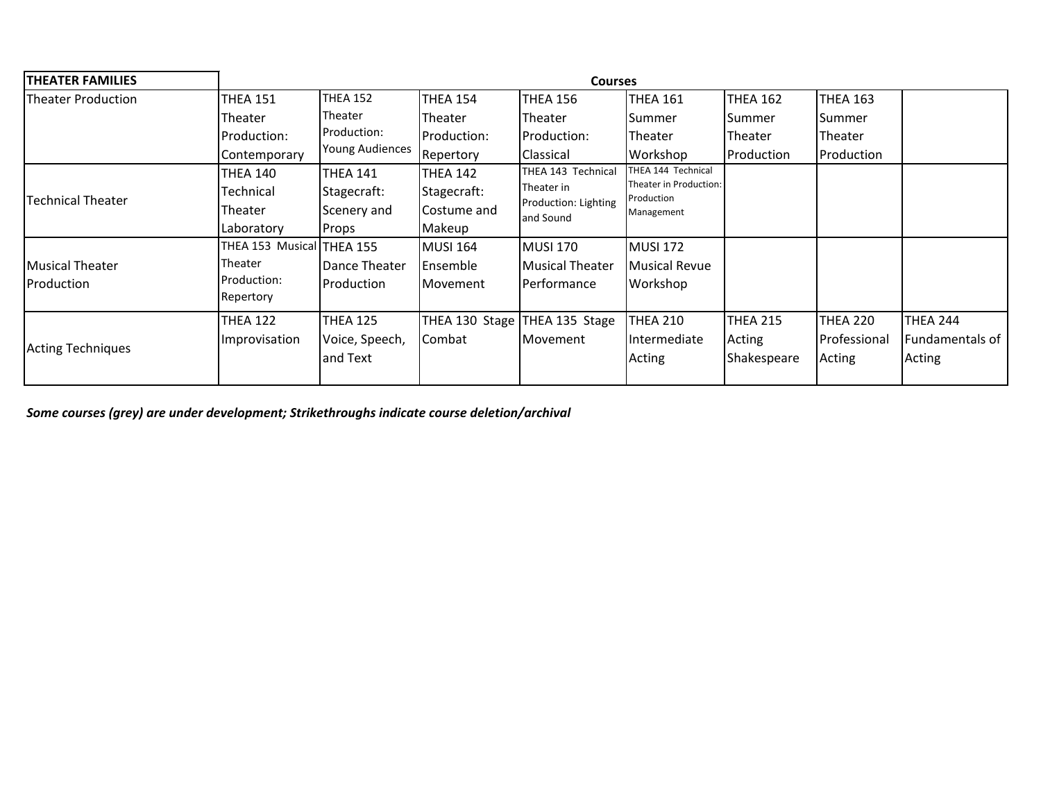| <b>THEATER FAMILIES</b>   | <b>Courses</b>            |                        |                 |                                                 |                                      |                 |                 |                 |  |  |
|---------------------------|---------------------------|------------------------|-----------------|-------------------------------------------------|--------------------------------------|-----------------|-----------------|-----------------|--|--|
| <b>Theater Production</b> | <b>THEA 151</b>           | <b>THEA 152</b>        | <b>THEA 154</b> | <b>THEA 156</b>                                 | <b>THEA 161</b>                      | THEA 162        | <b>THEA 163</b> |                 |  |  |
|                           | <b>Theater</b>            | Theater                | <b>Theater</b>  | <b>Theater</b>                                  | Summer                               | <b>Summer</b>   | Summer          |                 |  |  |
|                           | Production:               | Production:            | Production:     | Production:                                     | <b>Theater</b>                       | Theater         | Theater         |                 |  |  |
|                           | Contemporary              | <b>Young Audiences</b> | Repertory       | <b>Classical</b>                                | Workshop                             | Production      | Production      |                 |  |  |
|                           | <b>THEA 140</b>           | <b>THEA 141</b>        | <b>THEA 142</b> | THEA 143 Technical                              | THEA 144 Technical                   |                 |                 |                 |  |  |
| <b>Technical Theater</b>  | Technical                 | Stagecraft:            | Stagecraft:     | Theater in<br>Production: Lighting<br>and Sound | Theater in Production:<br>Production |                 |                 |                 |  |  |
|                           | Theater                   | Scenery and            | Costume and     |                                                 | Management                           |                 |                 |                 |  |  |
|                           | Laboratory                | Props                  | Makeup          |                                                 |                                      |                 |                 |                 |  |  |
|                           | THEA 153 Musical THEA 155 |                        | <b>MUSI 164</b> | MUSI 170                                        | MUSI 172                             |                 |                 |                 |  |  |
| <b>Musical Theater</b>    | Theater                   | Dance Theater          | Ensemble        | <b>Musical Theater</b>                          | <b>Musical Revue</b>                 |                 |                 |                 |  |  |
| Production                | Production:<br>Repertory  | Production             | Movement        | Performance                                     | Workshop                             |                 |                 |                 |  |  |
|                           | <b>THEA 122</b>           | <b>THEA 125</b>        |                 | THEA 130 Stage THEA 135 Stage                   | <b>THEA 210</b>                      | <b>THEA 215</b> | <b>THEA 220</b> | THEA 244        |  |  |
| <b>Acting Techniques</b>  | Improvisation             | Voice, Speech,         | Combat          | Movement                                        | Intermediate                         | Acting          | Professional    | Fundamentals of |  |  |
|                           |                           | and Text               |                 |                                                 | Acting                               | Shakespeare     | Acting          | Acting          |  |  |